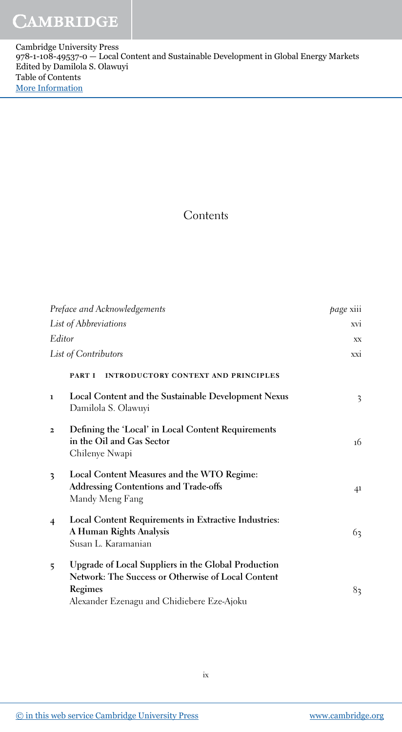Cambridge University Press 978-1-108-49537-0 — Local Content and Sustainable Development in Global Energy Markets Edited by Damilola S. Olawuyi Table of Contents [More Information](www.cambridge.org/9781108495370)

## Contents

| Preface and Acknowledgements |                                                                                                                                                                    | <i>page</i> xiii |
|------------------------------|--------------------------------------------------------------------------------------------------------------------------------------------------------------------|------------------|
|                              | List of Abbreviations                                                                                                                                              | xvi              |
| Editor                       |                                                                                                                                                                    | XX               |
| List of Contributors         |                                                                                                                                                                    | xxi              |
|                              | <b>INTRODUCTORY CONTEXT AND PRINCIPLES</b><br>PART I                                                                                                               |                  |
| $\mathbf{1}$                 | Local Content and the Sustainable Development Nexus<br>Damilola S. Olawuyi                                                                                         | 3                |
| $\overline{2}$               | Defining the 'Local' in Local Content Requirements<br>in the Oil and Gas Sector<br>Chilenye Nwapi                                                                  | 16               |
| 3                            | Local Content Measures and the WTO Regime:<br><b>Addressing Contentions and Trade-offs</b><br>Mandy Meng Fang                                                      | 41               |
| $\overline{4}$               | Local Content Requirements in Extractive Industries:<br>A Human Rights Analysis<br>Susan L. Karamanian                                                             | 63               |
| 5                            | Upgrade of Local Suppliers in the Global Production<br>Network: The Success or Otherwise of Local Content<br>Regimes<br>Alexander Ezenagu and Chidiebere Eze-Ajoku | 83               |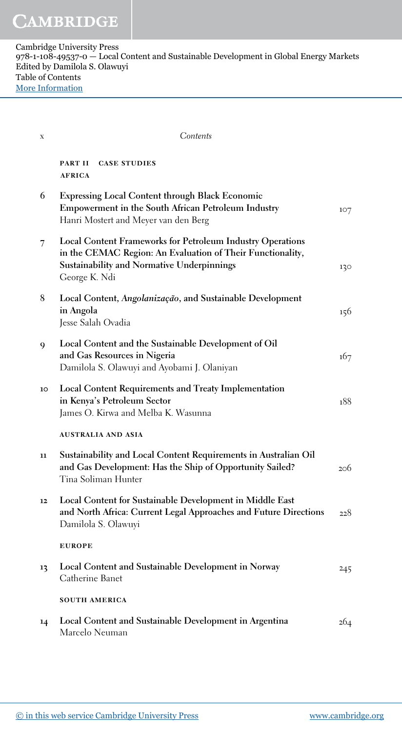| $\mathbf X$ | Contents                                                                                                                                                                                              |     |
|-------------|-------------------------------------------------------------------------------------------------------------------------------------------------------------------------------------------------------|-----|
|             | <b>CASE STUDIES</b><br>PART II<br><b>AFRICA</b>                                                                                                                                                       |     |
| 6           | <b>Expressing Local Content through Black Economic</b><br><b>Empowerment in the South African Petroleum Industry</b><br>Hanri Mostert and Meyer van den Berg                                          | 107 |
| 7           | <b>Local Content Frameworks for Petroleum Industry Operations</b><br>in the CEMAC Region: An Evaluation of Their Functionality,<br><b>Sustainability and Normative Underpinnings</b><br>George K. Ndi | 130 |
| 8           | Local Content, Angolanização, and Sustainable Development<br>in Angola<br>Jesse Salah Ovadia                                                                                                          | 156 |
| 9           | Local Content and the Sustainable Development of Oil<br>and Gas Resources in Nigeria<br>Damilola S. Olawuyi and Ayobami J. Olaniyan                                                                   | 167 |
| 10          | <b>Local Content Requirements and Treaty Implementation</b><br>in Kenya's Petroleum Sector<br>James O. Kirwa and Melba K. Wasunna                                                                     | 188 |
|             | <b>AUSTRALIA AND ASIA</b>                                                                                                                                                                             |     |
| 11          | Sustainability and Local Content Requirements in Australian Oil<br>and Gas Development: Has the Ship of Opportunity Sailed?<br>Tina Soliman Hunter                                                    | 206 |
| 12          | Local Content for Sustainable Development in Middle East<br>and North Africa: Current Legal Approaches and Future Directions<br>Damilola S. Olawuyi                                                   | 228 |
|             | <b>EUROPE</b>                                                                                                                                                                                         |     |
| 13          | Local Content and Sustainable Development in Norway<br>Catherine Banet                                                                                                                                | 245 |
|             | <b>SOUTH AMERICA</b>                                                                                                                                                                                  |     |
| 14          | Local Content and Sustainable Development in Argentina<br>Marcelo Neuman                                                                                                                              | 264 |